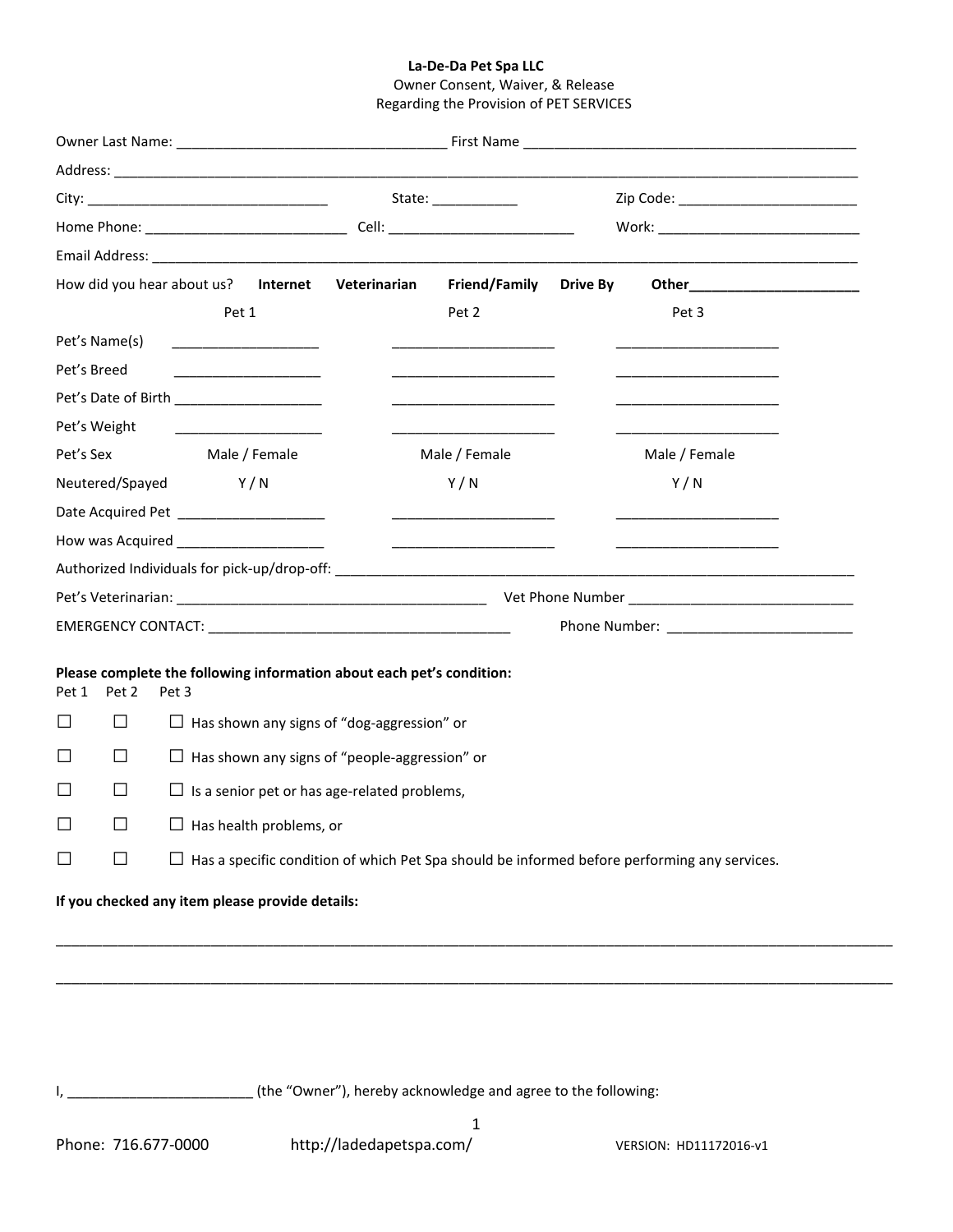## **La-De-Da Pet Spa LLC**

# Owner Consent, Waiver, & Release Regarding the Provision of PET SERVICES

|                                                                                                                                                                   |                                                                                                     |                                                            | State: ___________ |                                                                       |                 | Zip Code: ____________________________ |               |  |
|-------------------------------------------------------------------------------------------------------------------------------------------------------------------|-----------------------------------------------------------------------------------------------------|------------------------------------------------------------|--------------------|-----------------------------------------------------------------------|-----------------|----------------------------------------|---------------|--|
|                                                                                                                                                                   |                                                                                                     |                                                            |                    |                                                                       |                 |                                        |               |  |
|                                                                                                                                                                   |                                                                                                     |                                                            |                    |                                                                       |                 |                                        |               |  |
| How did you hear about us? Internet Veterinarian                                                                                                                  |                                                                                                     |                                                            |                    | Friend/Family                                                         | <b>Drive By</b> |                                        |               |  |
|                                                                                                                                                                   |                                                                                                     | Pet 1                                                      |                    |                                                                       | Pet 2           |                                        | Pet 3         |  |
|                                                                                                                                                                   | Pet's Name(s)                                                                                       |                                                            |                    |                                                                       |                 |                                        |               |  |
| Pet's Breed                                                                                                                                                       |                                                                                                     |                                                            |                    |                                                                       |                 |                                        |               |  |
| Pet's Date of Birth ___________________                                                                                                                           |                                                                                                     |                                                            |                    |                                                                       |                 |                                        |               |  |
| Pet's Weight<br><u> 1980 - John Harry Harry Harry Harry Harry Harry Harry Harry Harry Harry Harry Harry Harry Harry Harry Harry H</u>                             |                                                                                                     |                                                            |                    |                                                                       |                 |                                        |               |  |
| Pet's Sex                                                                                                                                                         |                                                                                                     |                                                            | Male / Female      |                                                                       | Male / Female   |                                        | Male / Female |  |
| Neutered/Spayed                                                                                                                                                   |                                                                                                     | Y/N                                                        |                    |                                                                       | Y/N             |                                        | Y/N           |  |
|                                                                                                                                                                   |                                                                                                     | Date Acquired Pet ______________________                   |                    |                                                                       |                 |                                        |               |  |
| How was Acquired _______________________<br><u> 1980 - Johann John Stone, markin amerikan bisa di sebagai pertama dan bagian dan bagian dan bisa di sebagai p</u> |                                                                                                     |                                                            |                    |                                                                       |                 |                                        |               |  |
|                                                                                                                                                                   |                                                                                                     |                                                            |                    |                                                                       |                 |                                        |               |  |
|                                                                                                                                                                   |                                                                                                     |                                                            |                    |                                                                       |                 |                                        |               |  |
|                                                                                                                                                                   |                                                                                                     |                                                            |                    |                                                                       |                 |                                        |               |  |
| Pet 1                                                                                                                                                             | Pet 2                                                                                               | Pet 3                                                      |                    | Please complete the following information about each pet's condition: |                 |                                        |               |  |
| ΙI                                                                                                                                                                | $\perp$                                                                                             | $\Box$ Has shown any signs of "dog-aggression" or          |                    |                                                                       |                 |                                        |               |  |
| $\mathsf{L}$                                                                                                                                                      | $\perp$                                                                                             | $\Box$ Has shown any signs of "people-aggression" or       |                    |                                                                       |                 |                                        |               |  |
| $\mathsf{L}$                                                                                                                                                      | $\vert \ \ \vert$                                                                                   | $\Box$ Is a senior pet or has age-related problems,        |                    |                                                                       |                 |                                        |               |  |
|                                                                                                                                                                   |                                                                                                     | $\overline{\phantom{0}}$<br>$\Box$ Has health problems, or |                    |                                                                       |                 |                                        |               |  |
| ப                                                                                                                                                                 | $\Box$ Has a specific condition of which Pet Spa should be informed before performing any services. |                                                            |                    |                                                                       |                 |                                        |               |  |
| If you checked any item please provide details:                                                                                                                   |                                                                                                     |                                                            |                    |                                                                       |                 |                                        |               |  |
|                                                                                                                                                                   |                                                                                                     |                                                            |                    |                                                                       |                 |                                        |               |  |

I, \_\_\_\_\_\_\_\_\_\_\_\_\_\_\_\_\_\_\_\_\_\_\_\_\_\_\_\_\_\_\_(the "Owner"), hereby acknowledge and agree to the following:

\_\_\_\_\_\_\_\_\_\_\_\_\_\_\_\_\_\_\_\_\_\_\_\_\_\_\_\_\_\_\_\_\_\_\_\_\_\_\_\_\_\_\_\_\_\_\_\_\_\_\_\_\_\_\_\_\_\_\_\_\_\_\_\_\_\_\_\_\_\_\_\_\_\_\_\_\_\_\_\_\_\_\_\_\_\_\_\_\_\_\_\_\_\_\_\_\_\_\_\_\_\_\_\_\_\_\_\_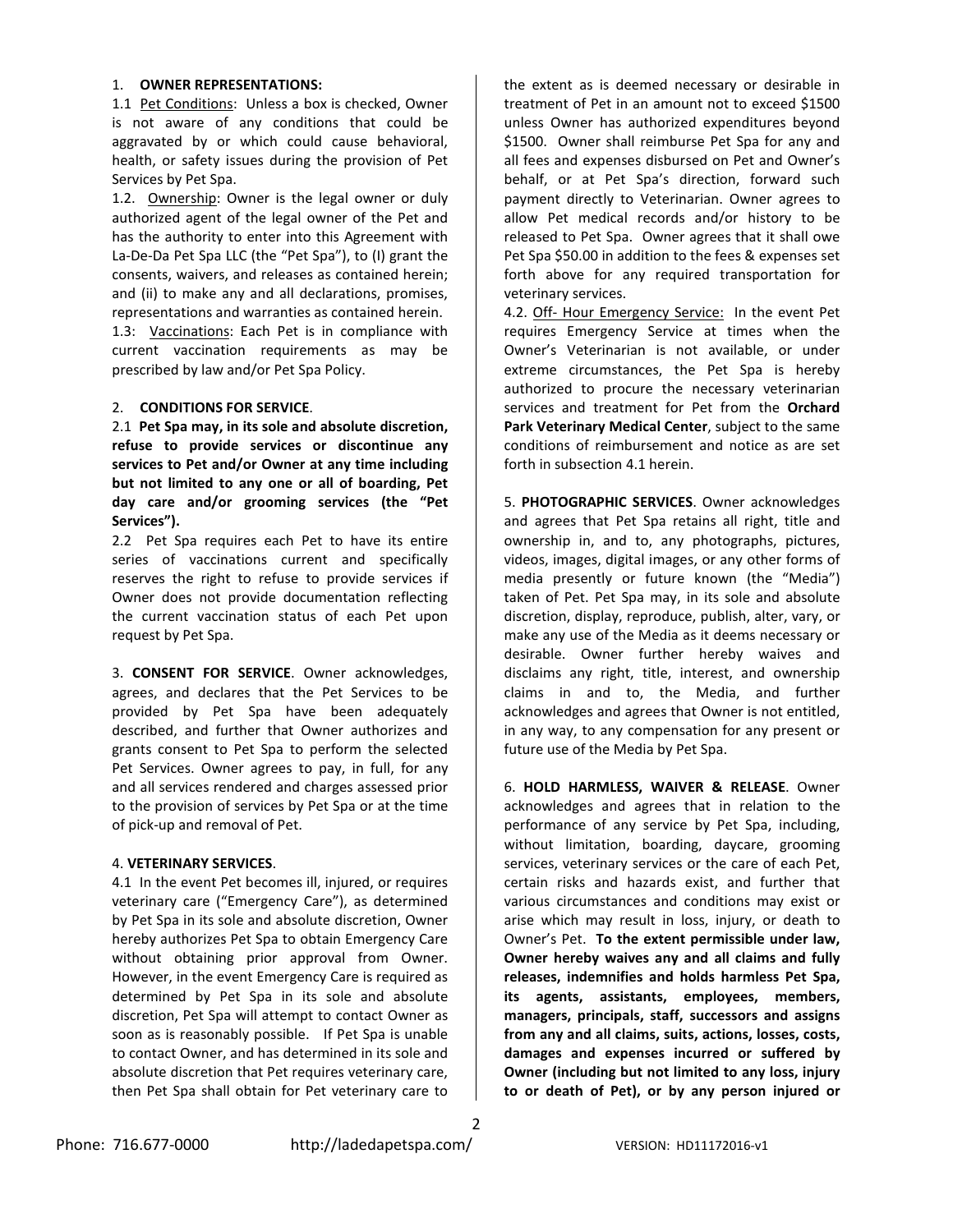# 1. **OWNER REPRESENTATIONS:**

1.1 Pet Conditions: Unless a box is checked, Owner is not aware of any conditions that could be aggravated by or which could cause behavioral, health, or safety issues during the provision of Pet Services by Pet Spa.

1.2. Ownership: Owner is the legal owner or duly authorized agent of the legal owner of the Pet and has the authority to enter into this Agreement with La-De-Da Pet Spa LLC (the "Pet Spa"), to (I) grant the consents, waivers, and releases as contained herein; and (ii) to make any and all declarations, promises, representations and warranties as contained herein.

1.3: Vaccinations: Each Pet is in compliance with current vaccination requirements as may be prescribed by law and/or Pet Spa Policy.

### 2. **CONDITIONS FOR SERVICE**.

2.1 **Pet Spa may, in its sole and absolute discretion, refuse to provide services or discontinue any services to Pet and/or Owner at any time including but not limited to any one or all of boarding, Pet day care and/or grooming services (the "Pet Services").**

2.2 Pet Spa requires each Pet to have its entire series of vaccinations current and specifically reserves the right to refuse to provide services if Owner does not provide documentation reflecting the current vaccination status of each Pet upon request by Pet Spa.

3. **CONSENT FOR SERVICE**. Owner acknowledges, agrees, and declares that the Pet Services to be provided by Pet Spa have been adequately described, and further that Owner authorizes and grants consent to Pet Spa to perform the selected Pet Services. Owner agrees to pay, in full, for any and all services rendered and charges assessed prior to the provision of services by Pet Spa or at the time of pick-up and removal of Pet.

#### 4. **VETERINARY SERVICES**.

4.1 In the event Pet becomes ill, injured, or requires veterinary care ("Emergency Care"), as determined by Pet Spa in its sole and absolute discretion, Owner hereby authorizes Pet Spa to obtain Emergency Care without obtaining prior approval from Owner. However, in the event Emergency Care is required as determined by Pet Spa in its sole and absolute discretion, Pet Spa will attempt to contact Owner as soon as is reasonably possible. If Pet Spa is unable to contact Owner, and has determined in its sole and absolute discretion that Pet requires veterinary care, then Pet Spa shall obtain for Pet veterinary care to

the extent as is deemed necessary or desirable in treatment of Pet in an amount not to exceed \$1500 unless Owner has authorized expenditures beyond \$1500. Owner shall reimburse Pet Spa for any and all fees and expenses disbursed on Pet and Owner's behalf, or at Pet Spa's direction, forward such payment directly to Veterinarian. Owner agrees to allow Pet medical records and/or history to be released to Pet Spa. Owner agrees that it shall owe Pet Spa \$50.00 in addition to the fees & expenses set forth above for any required transportation for veterinary services.

4.2. Off- Hour Emergency Service: In the event Pet requires Emergency Service at times when the Owner's Veterinarian is not available, or under extreme circumstances, the Pet Spa is hereby authorized to procure the necessary veterinarian services and treatment for Pet from the **Orchard Park Veterinary Medical Center**, subject to the same conditions of reimbursement and notice as are set forth in subsection 4.1 herein.

5. **PHOTOGRAPHIC SERVICES**. Owner acknowledges and agrees that Pet Spa retains all right, title and ownership in, and to, any photographs, pictures, videos, images, digital images, or any other forms of media presently or future known (the "Media") taken of Pet. Pet Spa may, in its sole and absolute discretion, display, reproduce, publish, alter, vary, or make any use of the Media as it deems necessary or desirable. Owner further hereby waives and disclaims any right, title, interest, and ownership claims in and to, the Media, and further acknowledges and agrees that Owner is not entitled, in any way, to any compensation for any present or future use of the Media by Pet Spa.

6. **HOLD HARMLESS, WAIVER & RELEASE**. Owner acknowledges and agrees that in relation to the performance of any service by Pet Spa, including, without limitation, boarding, daycare, grooming services, veterinary services or the care of each Pet, certain risks and hazards exist, and further that various circumstances and conditions may exist or arise which may result in loss, injury, or death to Owner's Pet. **To the extent permissible under law, Owner hereby waives any and all claims and fully releases, indemnifies and holds harmless Pet Spa, its agents, assistants, employees, members, managers, principals, staff, successors and assigns from any and all claims, suits, actions, losses, costs, damages and expenses incurred or suffered by Owner (including but not limited to any loss, injury to or death of Pet), or by any person injured or** 

Phone: 716.677-0000 http://ladedapetspa.com/ VERSION: HD11172016-v1

2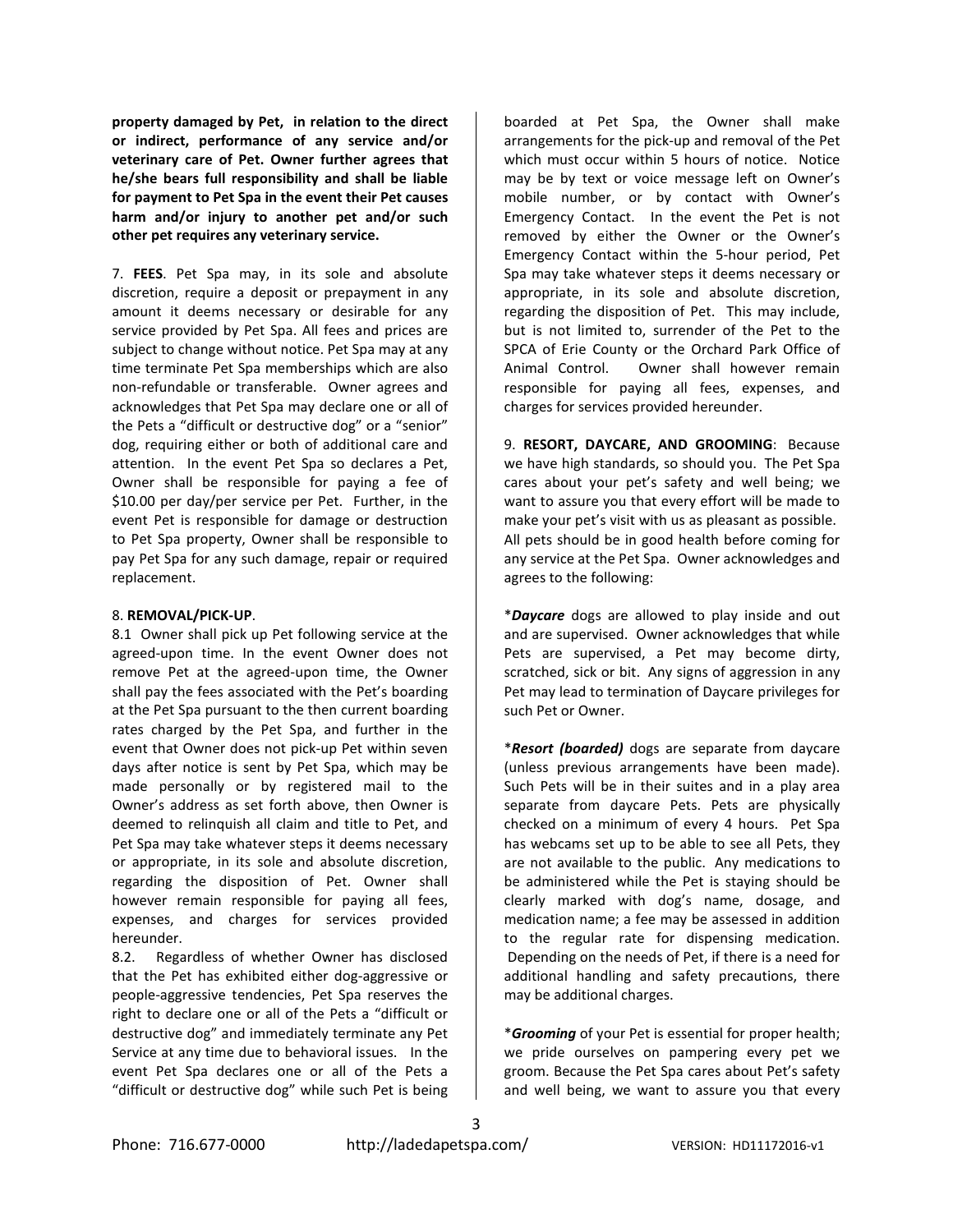**property damaged by Pet, in relation to the direct or indirect, performance of any service and/or veterinary care of Pet. Owner further agrees that he/she bears full responsibility and shall be liable for payment to Pet Spa in the event their Pet causes harm and/or injury to another pet and/or such other pet requires any veterinary service.**

7. **FEES**. Pet Spa may, in its sole and absolute discretion, require a deposit or prepayment in any amount it deems necessary or desirable for any service provided by Pet Spa. All fees and prices are subject to change without notice. Pet Spa may at any time terminate Pet Spa memberships which are also non-refundable or transferable. Owner agrees and acknowledges that Pet Spa may declare one or all of the Pets a "difficult or destructive dog" or a "senior" dog, requiring either or both of additional care and attention. In the event Pet Spa so declares a Pet, Owner shall be responsible for paying a fee of \$10.00 per day/per service per Pet. Further, in the event Pet is responsible for damage or destruction to Pet Spa property, Owner shall be responsible to pay Pet Spa for any such damage, repair or required replacement.

# 8. **REMOVAL/PICK-UP**.

8.1 Owner shall pick up Pet following service at the agreed-upon time. In the event Owner does not remove Pet at the agreed-upon time, the Owner shall pay the fees associated with the Pet's boarding at the Pet Spa pursuant to the then current boarding rates charged by the Pet Spa, and further in the event that Owner does not pick-up Pet within seven days after notice is sent by Pet Spa, which may be made personally or by registered mail to the Owner's address as set forth above, then Owner is deemed to relinquish all claim and title to Pet, and Pet Spa may take whatever steps it deems necessary or appropriate, in its sole and absolute discretion, regarding the disposition of Pet. Owner shall however remain responsible for paying all fees, expenses, and charges for services provided hereunder.

8.2. Regardless of whether Owner has disclosed that the Pet has exhibited either dog-aggressive or people-aggressive tendencies, Pet Spa reserves the right to declare one or all of the Pets a "difficult or destructive dog" and immediately terminate any Pet Service at any time due to behavioral issues. In the event Pet Spa declares one or all of the Pets a "difficult or destructive dog" while such Pet is being

boarded at Pet Spa, the Owner shall make arrangements for the pick-up and removal of the Pet which must occur within 5 hours of notice. Notice may be by text or voice message left on Owner's mobile number, or by contact with Owner's Emergency Contact. In the event the Pet is not removed by either the Owner or the Owner's Emergency Contact within the 5-hour period, Pet Spa may take whatever steps it deems necessary or appropriate, in its sole and absolute discretion, regarding the disposition of Pet. This may include, but is not limited to, surrender of the Pet to the SPCA of Erie County or the Orchard Park Office of Animal Control. Owner shall however remain responsible for paying all fees, expenses, and charges for services provided hereunder.

9. **RESORT, DAYCARE, AND GROOMING**: Because we have high standards, so should you. The Pet Spa cares about your pet's safety and well being; we want to assure you that every effort will be made to make your pet's visit with us as pleasant as possible. All pets should be in good health before coming for any service at the Pet Spa. Owner acknowledges and agrees to the following:

\**Daycare* dogs are allowed to play inside and out and are supervised. Owner acknowledges that while Pets are supervised, a Pet may become dirty, scratched, sick or bit. Any signs of aggression in any Pet may lead to termination of Daycare privileges for such Pet or Owner.

\**Resort (boarded)* dogs are separate from daycare (unless previous arrangements have been made). Such Pets will be in their suites and in a play area separate from daycare Pets. Pets are physically checked on a minimum of every 4 hours. Pet Spa has webcams set up to be able to see all Pets, they are not available to the public. Any medications to be administered while the Pet is staying should be clearly marked with dog's name, dosage, and medication name; a fee may be assessed in addition to the regular rate for dispensing medication. Depending on the needs of Pet, if there is a need for additional handling and safety precautions, there may be additional charges.

\**Grooming* of your Pet is essential for proper health; we pride ourselves on pampering every pet we groom. Because the Pet Spa cares about Pet's safety and well being, we want to assure you that every